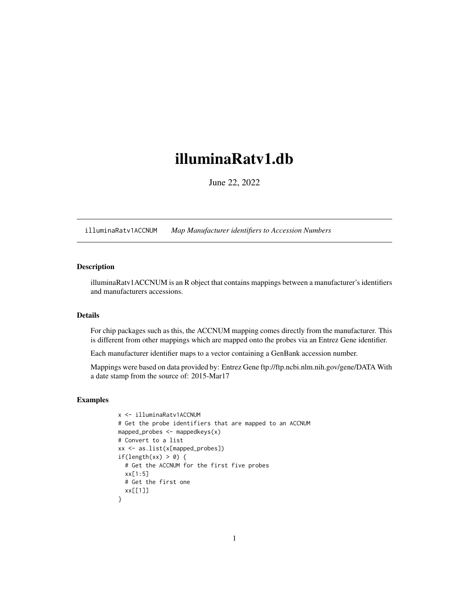## <span id="page-0-1"></span><span id="page-0-0"></span>illuminaRatv1.db

June 22, 2022

illuminaRatv1ACCNUM *Map Manufacturer identifiers to Accession Numbers*

## Description

illuminaRatv1ACCNUM is an R object that contains mappings between a manufacturer's identifiers and manufacturers accessions.

## Details

For chip packages such as this, the ACCNUM mapping comes directly from the manufacturer. This is different from other mappings which are mapped onto the probes via an Entrez Gene identifier.

Each manufacturer identifier maps to a vector containing a GenBank accession number.

Mappings were based on data provided by: Entrez Gene ftp://ftp.ncbi.nlm.nih.gov/gene/DATA With a date stamp from the source of: 2015-Mar17

```
x <- illuminaRatv1ACCNUM
# Get the probe identifiers that are mapped to an ACCNUM
mapped_probes <- mappedkeys(x)
# Convert to a list
xx <- as.list(x[mapped_probes])
if(length(xx) > 0) {
  # Get the ACCNUM for the first five probes
  xx[1:5]
  # Get the first one
  xx[[1]]
}
```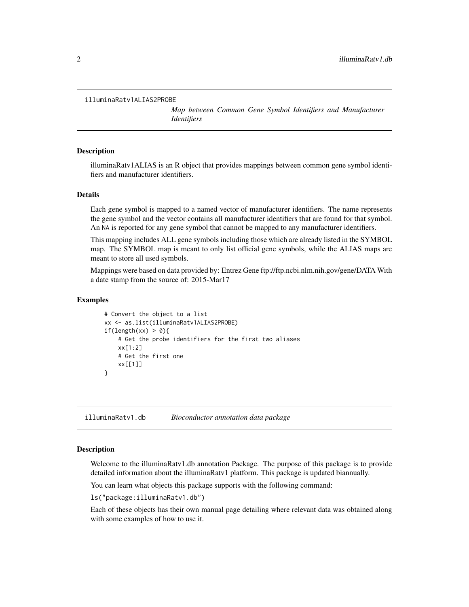```
illuminaRatv1ALIAS2PROBE
```
*Map between Common Gene Symbol Identifiers and Manufacturer Identifiers*

## **Description**

illuminaRatv1ALIAS is an R object that provides mappings between common gene symbol identifiers and manufacturer identifiers.

## Details

Each gene symbol is mapped to a named vector of manufacturer identifiers. The name represents the gene symbol and the vector contains all manufacturer identifiers that are found for that symbol. An NA is reported for any gene symbol that cannot be mapped to any manufacturer identifiers.

This mapping includes ALL gene symbols including those which are already listed in the SYMBOL map. The SYMBOL map is meant to only list official gene symbols, while the ALIAS maps are meant to store all used symbols.

Mappings were based on data provided by: Entrez Gene ftp://ftp.ncbi.nlm.nih.gov/gene/DATA With a date stamp from the source of: 2015-Mar17

## Examples

```
# Convert the object to a list
xx <- as.list(illuminaRatv1ALIAS2PROBE)
if(length(xx) > 0){
   # Get the probe identifiers for the first two aliases
   xx[1:2]
   # Get the first one
   xx[[1]]
}
```
illuminaRatv1.db *Bioconductor annotation data package*

## **Description**

Welcome to the illuminaRatv1.db annotation Package. The purpose of this package is to provide detailed information about the illuminaRatv1 platform. This package is updated biannually.

You can learn what objects this package supports with the following command:

ls("package:illuminaRatv1.db")

Each of these objects has their own manual page detailing where relevant data was obtained along with some examples of how to use it.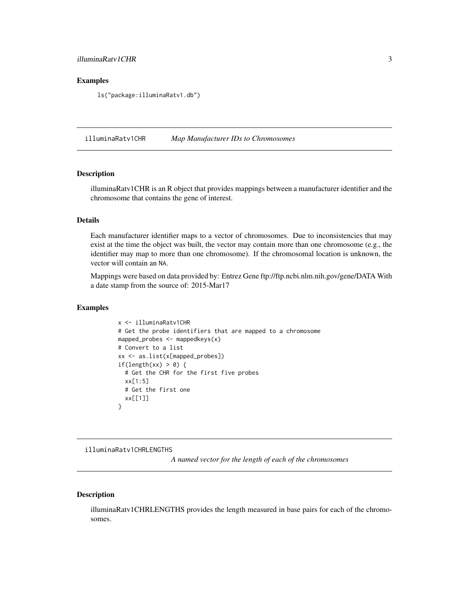## <span id="page-2-0"></span>illuminaRatv1CHR 3

## Examples

ls("package:illuminaRatv1.db")

illuminaRatv1CHR *Map Manufacturer IDs to Chromosomes*

## Description

illuminaRatv1CHR is an R object that provides mappings between a manufacturer identifier and the chromosome that contains the gene of interest.

#### Details

Each manufacturer identifier maps to a vector of chromosomes. Due to inconsistencies that may exist at the time the object was built, the vector may contain more than one chromosome (e.g., the identifier may map to more than one chromosome). If the chromosomal location is unknown, the vector will contain an NA.

Mappings were based on data provided by: Entrez Gene ftp://ftp.ncbi.nlm.nih.gov/gene/DATA With a date stamp from the source of: 2015-Mar17

## Examples

```
x <- illuminaRatv1CHR
# Get the probe identifiers that are mapped to a chromosome
mapped_probes <- mappedkeys(x)
# Convert to a list
xx <- as.list(x[mapped_probes])
if(length(xx) > 0) {
 # Get the CHR for the first five probes
 xx[1:5]
 # Get the first one
 xx[[1]]
}
```
illuminaRatv1CHRLENGTHS

*A named vector for the length of each of the chromosomes*

## Description

illuminaRatv1CHRLENGTHS provides the length measured in base pairs for each of the chromosomes.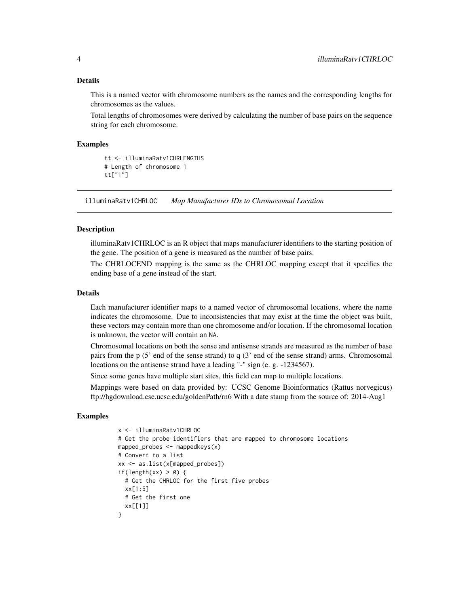#### <span id="page-3-0"></span>Details

This is a named vector with chromosome numbers as the names and the corresponding lengths for chromosomes as the values.

Total lengths of chromosomes were derived by calculating the number of base pairs on the sequence string for each chromosome.

#### Examples

```
tt <- illuminaRatv1CHRLENGTHS
# Length of chromosome 1
tt["1"]
```
illuminaRatv1CHRLOC *Map Manufacturer IDs to Chromosomal Location*

#### **Description**

illuminaRatv1CHRLOC is an R object that maps manufacturer identifiers to the starting position of the gene. The position of a gene is measured as the number of base pairs.

The CHRLOCEND mapping is the same as the CHRLOC mapping except that it specifies the ending base of a gene instead of the start.

#### Details

Each manufacturer identifier maps to a named vector of chromosomal locations, where the name indicates the chromosome. Due to inconsistencies that may exist at the time the object was built, these vectors may contain more than one chromosome and/or location. If the chromosomal location is unknown, the vector will contain an NA.

Chromosomal locations on both the sense and antisense strands are measured as the number of base pairs from the p (5' end of the sense strand) to q (3' end of the sense strand) arms. Chromosomal locations on the antisense strand have a leading "-" sign (e. g. -1234567).

Since some genes have multiple start sites, this field can map to multiple locations.

Mappings were based on data provided by: UCSC Genome Bioinformatics (Rattus norvegicus) ftp://hgdownload.cse.ucsc.edu/goldenPath/rn6 With a date stamp from the source of: 2014-Aug1

```
x <- illuminaRatv1CHRLOC
# Get the probe identifiers that are mapped to chromosome locations
mapped_probes <- mappedkeys(x)
# Convert to a list
xx <- as.list(x[mapped_probes])
if(length(xx) > 0) {
  # Get the CHRLOC for the first five probes
 xx[1:5]
 # Get the first one
 xx[[1]]
}
```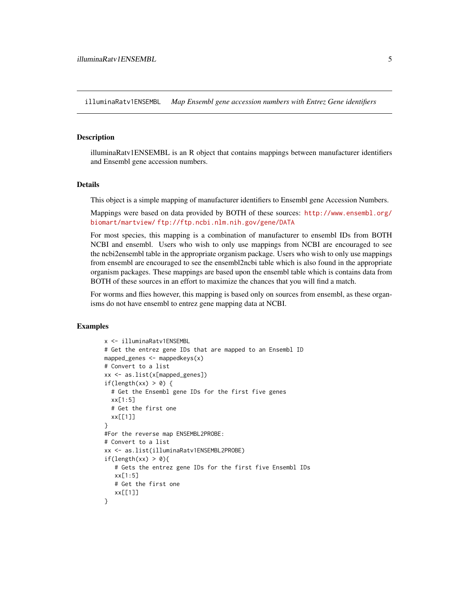<span id="page-4-0"></span>illuminaRatv1ENSEMBL *Map Ensembl gene accession numbers with Entrez Gene identifiers*

#### Description

illuminaRatv1ENSEMBL is an R object that contains mappings between manufacturer identifiers and Ensembl gene accession numbers.

## Details

This object is a simple mapping of manufacturer identifiers to Ensembl gene Accession Numbers.

Mappings were based on data provided by BOTH of these sources: [http://www.ensembl.org/](http://www.ensembl.org/biomart/martview/) [biomart/martview/](http://www.ensembl.org/biomart/martview/) <ftp://ftp.ncbi.nlm.nih.gov/gene/DATA>

For most species, this mapping is a combination of manufacturer to ensembl IDs from BOTH NCBI and ensembl. Users who wish to only use mappings from NCBI are encouraged to see the ncbi2ensembl table in the appropriate organism package. Users who wish to only use mappings from ensembl are encouraged to see the ensembl2ncbi table which is also found in the appropriate organism packages. These mappings are based upon the ensembl table which is contains data from BOTH of these sources in an effort to maximize the chances that you will find a match.

For worms and flies however, this mapping is based only on sources from ensembl, as these organisms do not have ensembl to entrez gene mapping data at NCBI.

```
x <- illuminaRatv1ENSEMBL
# Get the entrez gene IDs that are mapped to an Ensembl ID
mapped_genes <- mappedkeys(x)
# Convert to a list
xx <- as.list(x[mapped_genes])
if(length(xx) > 0) {
  # Get the Ensembl gene IDs for the first five genes
  xx[1:5]
  # Get the first one
  xx[[1]]
}
#For the reverse map ENSEMBL2PROBE:
# Convert to a list
xx <- as.list(illuminaRatv1ENSEMBL2PROBE)
if(length(xx) > 0){
   # Gets the entrez gene IDs for the first five Ensembl IDs
   xx[1:5]
   # Get the first one
   xx[[1]]
}
```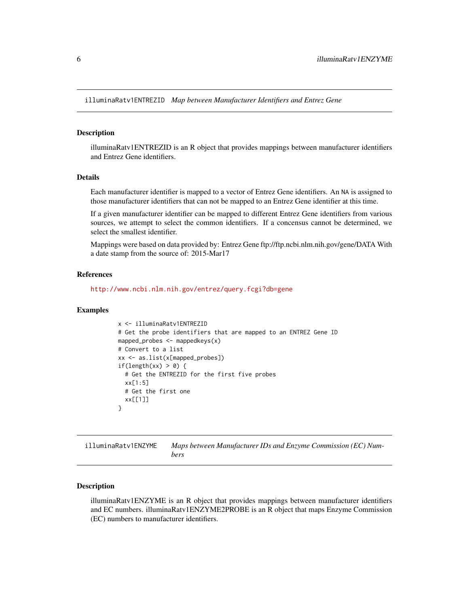<span id="page-5-0"></span>illuminaRatv1ENTREZID *Map between Manufacturer Identifiers and Entrez Gene*

#### Description

illuminaRatv1ENTREZID is an R object that provides mappings between manufacturer identifiers and Entrez Gene identifiers.

## Details

Each manufacturer identifier is mapped to a vector of Entrez Gene identifiers. An NA is assigned to those manufacturer identifiers that can not be mapped to an Entrez Gene identifier at this time.

If a given manufacturer identifier can be mapped to different Entrez Gene identifiers from various sources, we attempt to select the common identifiers. If a concensus cannot be determined, we select the smallest identifier.

Mappings were based on data provided by: Entrez Gene ftp://ftp.ncbi.nlm.nih.gov/gene/DATA With a date stamp from the source of: 2015-Mar17

#### References

<http://www.ncbi.nlm.nih.gov/entrez/query.fcgi?db=gene>

#### Examples

```
x <- illuminaRatv1ENTREZID
# Get the probe identifiers that are mapped to an ENTREZ Gene ID
mapped_probes <- mappedkeys(x)
# Convert to a list
xx <- as.list(x[mapped_probes])
if(length(xx) > 0) {
  # Get the ENTREZID for the first five probes
  xx[1:5]
 # Get the first one
  xx[[1]]
}
```
illuminaRatv1ENZYME *Maps between Manufacturer IDs and Enzyme Commission (EC) Numbers*

## Description

illuminaRatv1ENZYME is an R object that provides mappings between manufacturer identifiers and EC numbers. illuminaRatv1ENZYME2PROBE is an R object that maps Enzyme Commission (EC) numbers to manufacturer identifiers.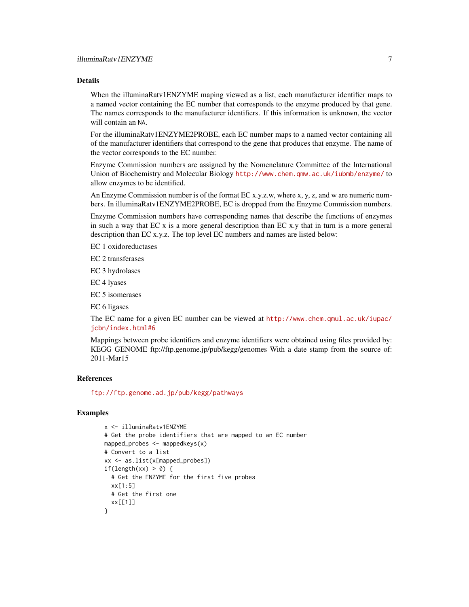## Details

When the illuminaRatv1ENZYME maping viewed as a list, each manufacturer identifier maps to a named vector containing the EC number that corresponds to the enzyme produced by that gene. The names corresponds to the manufacturer identifiers. If this information is unknown, the vector will contain an NA.

For the illuminaRatv1ENZYME2PROBE, each EC number maps to a named vector containing all of the manufacturer identifiers that correspond to the gene that produces that enzyme. The name of the vector corresponds to the EC number.

Enzyme Commission numbers are assigned by the Nomenclature Committee of the International Union of Biochemistry and Molecular Biology <http://www.chem.qmw.ac.uk/iubmb/enzyme/> to allow enzymes to be identified.

An Enzyme Commission number is of the format EC x.y.z.w, where x, y, z, and w are numeric numbers. In illuminaRatv1ENZYME2PROBE, EC is dropped from the Enzyme Commission numbers.

Enzyme Commission numbers have corresponding names that describe the functions of enzymes in such a way that EC x is a more general description than EC x.y that in turn is a more general description than EC x.y.z. The top level EC numbers and names are listed below:

EC 1 oxidoreductases

EC 2 transferases

EC 3 hydrolases

EC 4 lyases

EC 5 isomerases

EC 6 ligases

The EC name for a given EC number can be viewed at [http://www.chem.qmul.ac.uk/iupac/](http://www.chem.qmul.ac.uk/iupac/jcbn/index.html#6) [jcbn/index.html#6](http://www.chem.qmul.ac.uk/iupac/jcbn/index.html#6)

Mappings between probe identifiers and enzyme identifiers were obtained using files provided by: KEGG GENOME ftp://ftp.genome.jp/pub/kegg/genomes With a date stamp from the source of: 2011-Mar15

## References

<ftp://ftp.genome.ad.jp/pub/kegg/pathways>

```
x <- illuminaRatv1ENZYME
# Get the probe identifiers that are mapped to an EC number
mapped_probes <- mappedkeys(x)
# Convert to a list
xx <- as.list(x[mapped_probes])
if(length(xx) > 0) {
  # Get the ENZYME for the first five probes
  xx[1:5]
  # Get the first one
  xx[[1]]
}
```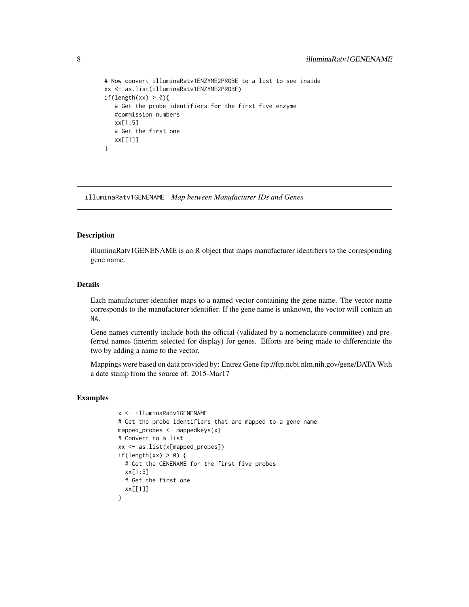```
# Now convert illuminaRatv1ENZYME2PROBE to a list to see inside
xx <- as.list(illuminaRatv1ENZYME2PROBE)
if(length(xx) > 0){
  # Get the probe identifiers for the first five enzyme
  #commission numbers
  xx[1:5]
  # Get the first one
  xx[[1]]
}
```
illuminaRatv1GENENAME *Map between Manufacturer IDs and Genes*

#### Description

illuminaRatv1GENENAME is an R object that maps manufacturer identifiers to the corresponding gene name.

## Details

Each manufacturer identifier maps to a named vector containing the gene name. The vector name corresponds to the manufacturer identifier. If the gene name is unknown, the vector will contain an NA.

Gene names currently include both the official (validated by a nomenclature committee) and preferred names (interim selected for display) for genes. Efforts are being made to differentiate the two by adding a name to the vector.

Mappings were based on data provided by: Entrez Gene ftp://ftp.ncbi.nlm.nih.gov/gene/DATA With a date stamp from the source of: 2015-Mar17

```
x <- illuminaRatv1GENENAME
# Get the probe identifiers that are mapped to a gene name
mapped_probes <- mappedkeys(x)
# Convert to a list
xx <- as.list(x[mapped_probes])
if(length(xx) > 0) {
  # Get the GENENAME for the first five probes
  xx[1:5]
 # Get the first one
 xx[[1]]
}
```
<span id="page-7-0"></span>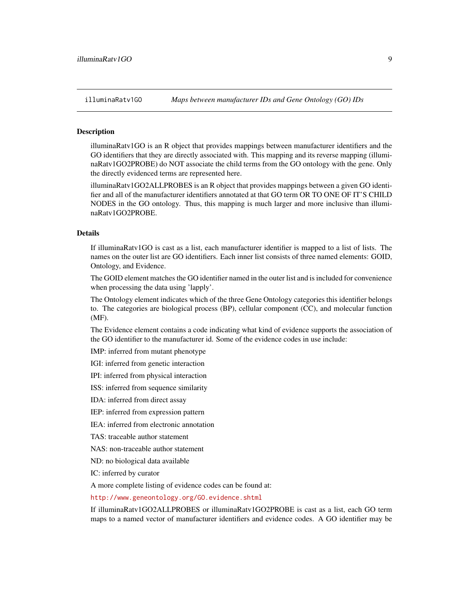## <span id="page-8-1"></span><span id="page-8-0"></span>**Description**

illuminaRatv1GO is an R object that provides mappings between manufacturer identifiers and the GO identifiers that they are directly associated with. This mapping and its reverse mapping (illuminaRatv1GO2PROBE) do NOT associate the child terms from the GO ontology with the gene. Only the directly evidenced terms are represented here.

illuminaRatv1GO2ALLPROBES is an R object that provides mappings between a given GO identifier and all of the manufacturer identifiers annotated at that GO term OR TO ONE OF IT'S CHILD NODES in the GO ontology. Thus, this mapping is much larger and more inclusive than illuminaRatv1GO2PROBE.

## Details

If illuminaRatv1GO is cast as a list, each manufacturer identifier is mapped to a list of lists. The names on the outer list are GO identifiers. Each inner list consists of three named elements: GOID, Ontology, and Evidence.

The GOID element matches the GO identifier named in the outer list and is included for convenience when processing the data using 'lapply'.

The Ontology element indicates which of the three Gene Ontology categories this identifier belongs to. The categories are biological process (BP), cellular component (CC), and molecular function (MF).

The Evidence element contains a code indicating what kind of evidence supports the association of the GO identifier to the manufacturer id. Some of the evidence codes in use include:

IMP: inferred from mutant phenotype

IGI: inferred from genetic interaction

IPI: inferred from physical interaction

ISS: inferred from sequence similarity

IDA: inferred from direct assay

IEP: inferred from expression pattern

IEA: inferred from electronic annotation

TAS: traceable author statement

NAS: non-traceable author statement

ND: no biological data available

IC: inferred by curator

A more complete listing of evidence codes can be found at:

<http://www.geneontology.org/GO.evidence.shtml>

If illuminaRatv1GO2ALLPROBES or illuminaRatv1GO2PROBE is cast as a list, each GO term maps to a named vector of manufacturer identifiers and evidence codes. A GO identifier may be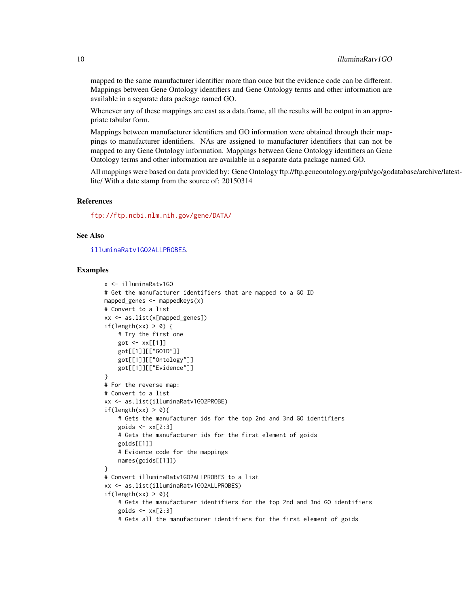<span id="page-9-0"></span>mapped to the same manufacturer identifier more than once but the evidence code can be different. Mappings between Gene Ontology identifiers and Gene Ontology terms and other information are available in a separate data package named GO.

Whenever any of these mappings are cast as a data.frame, all the results will be output in an appropriate tabular form.

Mappings between manufacturer identifiers and GO information were obtained through their mappings to manufacturer identifiers. NAs are assigned to manufacturer identifiers that can not be mapped to any Gene Ontology information. Mappings between Gene Ontology identifiers an Gene Ontology terms and other information are available in a separate data package named GO.

All mappings were based on data provided by: Gene Ontology ftp://ftp.geneontology.org/pub/go/godatabase/archive/latestlite/ With a date stamp from the source of: 20150314

## References

<ftp://ftp.ncbi.nlm.nih.gov/gene/DATA/>

## See Also

[illuminaRatv1GO2ALLPROBES](#page-8-0).

```
x <- illuminaRatv1GO
# Get the manufacturer identifiers that are mapped to a GO ID
mapped_genes \leq mappedkeys(x)
# Convert to a list
xx <- as.list(x[mapped_genes])
if(length(xx) > 0) {
    # Try the first one
    got <- xx[[1]]
    got[[1]][["GOID"]]
    got[[1]][["Ontology"]]
    got[[1]][["Evidence"]]
}
# For the reverse map:
# Convert to a list
xx <- as.list(illuminaRatv1GO2PROBE)
if(length(xx) > 0){
    # Gets the manufacturer ids for the top 2nd and 3nd GO identifiers
    goids \leq -x \times [2:3]# Gets the manufacturer ids for the first element of goids
    goids[[1]]
    # Evidence code for the mappings
    names(goids[[1]])
}
# Convert illuminaRatv1GO2ALLPROBES to a list
xx <- as.list(illuminaRatv1GO2ALLPROBES)
if(length(xx) > 0){
    # Gets the manufacturer identifiers for the top 2nd and 3nd GO identifiers
    goids \leftarrow xx[2:3]# Gets all the manufacturer identifiers for the first element of goids
```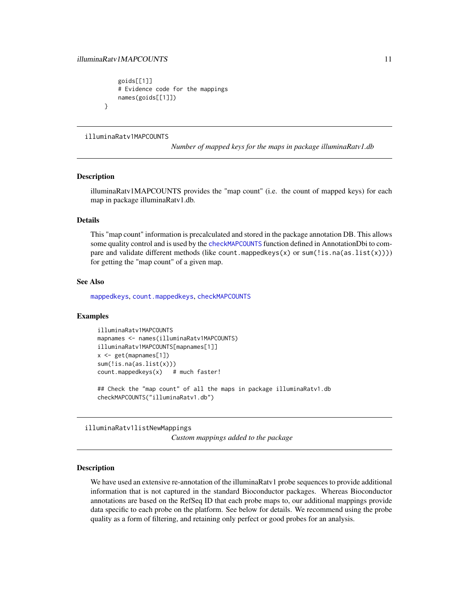## <span id="page-10-0"></span>illuminaRatv1MAPCOUNTS 11

```
goids[[1]]
# Evidence code for the mappings
names(goids[[1]])
```
#### illuminaRatv1MAPCOUNTS

*Number of mapped keys for the maps in package illuminaRatv1.db*

#### Description

}

illuminaRatv1MAPCOUNTS provides the "map count" (i.e. the count of mapped keys) for each map in package illuminaRatv1.db.

## Details

This "map count" information is precalculated and stored in the package annotation DB. This allows some quality control and is used by the [checkMAPCOUNTS](#page-0-0) function defined in AnnotationDbi to compare and validate different methods (like count.mappedkeys $(x)$  or sum(!is.na(as.list(x)))) for getting the "map count" of a given map.

## See Also

[mappedkeys](#page-0-0), [count.mappedkeys](#page-0-0), [checkMAPCOUNTS](#page-0-0)

#### Examples

```
illuminaRatv1MAPCOUNTS
mapnames <- names(illuminaRatv1MAPCOUNTS)
illuminaRatv1MAPCOUNTS[mapnames[1]]
x \leq - get(mapnames[1])
sum(!is.na(as.list(x)))
count.mappedkeys(x) # much faster!
```
## Check the "map count" of all the maps in package illuminaRatv1.db checkMAPCOUNTS("illuminaRatv1.db")

illuminaRatv1listNewMappings

*Custom mappings added to the package*

#### Description

We have used an extensive re-annotation of the illuminaRatv1 probe sequences to provide additional information that is not captured in the standard Bioconductor packages. Whereas Bioconductor annotations are based on the RefSeq ID that each probe maps to, our additional mappings provide data specific to each probe on the platform. See below for details. We recommend using the probe quality as a form of filtering, and retaining only perfect or good probes for an analysis.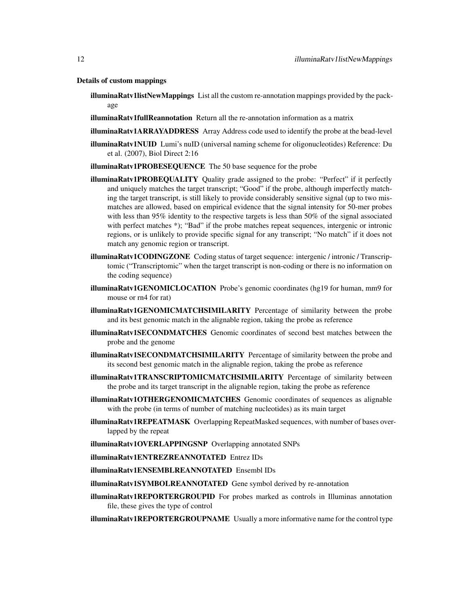Details of custom mappings

- illuminaRatv1listNewMappings List all the custom re-annotation mappings provided by the package
- illuminaRatv1fullReannotation Return all the re-annotation information as a matrix
- illuminaRatv1ARRAYADDRESS Array Address code used to identify the probe at the bead-level
- illuminaRatv1NUID Lumi's nuID (universal naming scheme for oligonucleotides) Reference: Du et al. (2007), Biol Direct 2:16
- illuminaRatv1PROBESEQUENCE The 50 base sequence for the probe
- illuminaRatv1PROBEQUALITY Quality grade assigned to the probe: "Perfect" if it perfectly and uniquely matches the target transcript; "Good" if the probe, although imperfectly matching the target transcript, is still likely to provide considerably sensitive signal (up to two mismatches are allowed, based on empirical evidence that the signal intensity for 50-mer probes with less than 95% identity to the respective targets is less than 50% of the signal associated with perfect matches \*); "Bad" if the probe matches repeat sequences, intergenic or intronic regions, or is unlikely to provide specific signal for any transcript; "No match" if it does not match any genomic region or transcript.
- illuminaRatv1CODINGZONE Coding status of target sequence: intergenic / intronic / Transcriptomic ("Transcriptomic" when the target transcript is non-coding or there is no information on the coding sequence)
- illuminaRatv1GENOMICLOCATION Probe's genomic coordinates (hg19 for human, mm9 for mouse or rn4 for rat)
- illuminaRatv1GENOMICMATCHSIMILARITY Percentage of similarity between the probe and its best genomic match in the alignable region, taking the probe as reference
- illuminaRatv1SECONDMATCHES Genomic coordinates of second best matches between the probe and the genome
- illuminaRatv1SECONDMATCHSIMILARITY Percentage of similarity between the probe and its second best genomic match in the alignable region, taking the probe as reference
- illuminaRatv1TRANSCRIPTOMICMATCHSIMILARITY Percentage of similarity between the probe and its target transcript in the alignable region, taking the probe as reference
- illuminaRatv1OTHERGENOMICMATCHES Genomic coordinates of sequences as alignable with the probe (in terms of number of matching nucleotides) as its main target
- illuminaRatv1REPEATMASK Overlapping RepeatMasked sequences, with number of bases overlapped by the repeat
- illuminaRatv1OVERLAPPINGSNP Overlapping annotated SNPs
- illuminaRatv1ENTREZREANNOTATED Entrez IDs
- illuminaRatv1ENSEMBLREANNOTATED Ensembl IDs
- illuminaRatv1SYMBOLREANNOTATED Gene symbol derived by re-annotation
- illuminaRatv1REPORTERGROUPID For probes marked as controls in Illuminas annotation file, these gives the type of control
- illuminaRatv1REPORTERGROUPNAME Usually a more informative name for the control type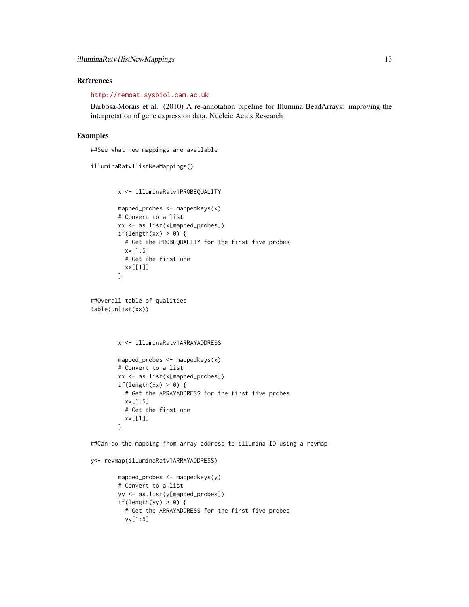## References

<http://remoat.sysbiol.cam.ac.uk>

Barbosa-Morais et al. (2010) A re-annotation pipeline for Illumina BeadArrays: improving the interpretation of gene expression data. Nucleic Acids Research

## Examples

##See what new mappings are available

```
illuminaRatv1listNewMappings()
```

```
x <- illuminaRatv1PROBEQUALITY
mapped_probes \leq mappedkeys(x)
# Convert to a list
xx <- as.list(x[mapped_probes])
if(length(xx) > 0) {
 # Get the PROBEQUALITY for the first five probes
  xx[1:5]
  # Get the first one
  xx[[1]]
```

```
##Overall table of qualities
table(unlist(xx))
```
}

```
x <- illuminaRatv1ARRAYADDRESS
```

```
mapped_probes \leq mappedkeys(x)
# Convert to a list
xx <- as.list(x[mapped_probes])
if(length(xx) > 0) {
  # Get the ARRAYADDRESS for the first five probes
  xx[1:5]
 # Get the first one
  xx[[1]]
}
```
##Can do the mapping from array address to illumina ID using a revmap

```
y<- revmap(illuminaRatv1ARRAYADDRESS)
```

```
mapped_probes <- mappedkeys(y)
# Convert to a list
yy <- as.list(y[mapped_probes])
if(length(yy) > 0) {
 # Get the ARRAYADDRESS for the first five probes
 yy[1:5]
```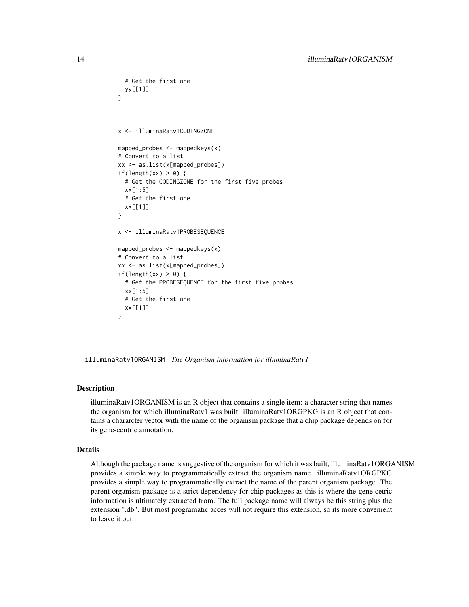```
# Get the first one
 yy[[1]]
}
x <- illuminaRatv1CODINGZONE
mapped_probes \leq mappedkeys(x)
# Convert to a list
xx <- as.list(x[mapped_probes])
if(length(xx) > 0) {
  # Get the CODINGZONE for the first five probes
  xx[1:5]
 # Get the first one
 xx[[1]]
}
x <- illuminaRatv1PROBESEQUENCE
mapped_probes <- mappedkeys(x)
# Convert to a list
xx <- as.list(x[mapped_probes])
if(length(xx) > 0) {
  # Get the PROBESEQUENCE for the first five probes
  xx[1:5]
  # Get the first one
  xx[[1]]
}
```
illuminaRatv1ORGANISM *The Organism information for illuminaRatv1*

#### Description

illuminaRatv1ORGANISM is an R object that contains a single item: a character string that names the organism for which illuminaRatv1 was built. illuminaRatv1ORGPKG is an R object that contains a chararcter vector with the name of the organism package that a chip package depends on for its gene-centric annotation.

#### Details

Although the package name is suggestive of the organism for which it was built, illuminaRatv1ORGANISM provides a simple way to programmatically extract the organism name. illuminaRatv1ORGPKG provides a simple way to programmatically extract the name of the parent organism package. The parent organism package is a strict dependency for chip packages as this is where the gene cetric information is ultimately extracted from. The full package name will always be this string plus the extension ".db". But most programatic acces will not require this extension, so its more convenient to leave it out.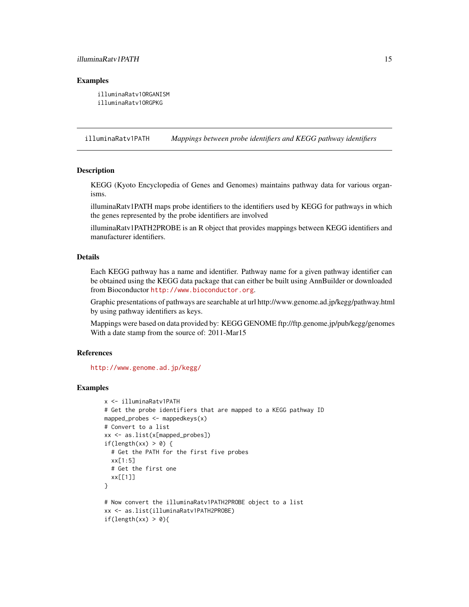## <span id="page-14-0"></span>illuminaRatv1PATH 15

#### Examples

illuminaRatv1ORGANISM illuminaRatv1ORGPKG

illuminaRatv1PATH *Mappings between probe identifiers and KEGG pathway identifiers*

## **Description**

KEGG (Kyoto Encyclopedia of Genes and Genomes) maintains pathway data for various organisms.

illuminaRatv1PATH maps probe identifiers to the identifiers used by KEGG for pathways in which the genes represented by the probe identifiers are involved

illuminaRatv1PATH2PROBE is an R object that provides mappings between KEGG identifiers and manufacturer identifiers.

## Details

Each KEGG pathway has a name and identifier. Pathway name for a given pathway identifier can be obtained using the KEGG data package that can either be built using AnnBuilder or downloaded from Bioconductor <http://www.bioconductor.org>.

Graphic presentations of pathways are searchable at url http://www.genome.ad.jp/kegg/pathway.html by using pathway identifiers as keys.

Mappings were based on data provided by: KEGG GENOME ftp://ftp.genome.jp/pub/kegg/genomes With a date stamp from the source of: 2011-Mar15

#### References

<http://www.genome.ad.jp/kegg/>

```
x <- illuminaRatv1PATH
# Get the probe identifiers that are mapped to a KEGG pathway ID
mapped_probes \leq mappedkeys(x)
# Convert to a list
xx <- as.list(x[mapped_probes])
if(length(xx) > 0) {
  # Get the PATH for the first five probes
  xx[1:5]
  # Get the first one
  xx[[1]]
}
# Now convert the illuminaRatv1PATH2PROBE object to a list
xx <- as.list(illuminaRatv1PATH2PROBE)
if(length(xx) > 0){
```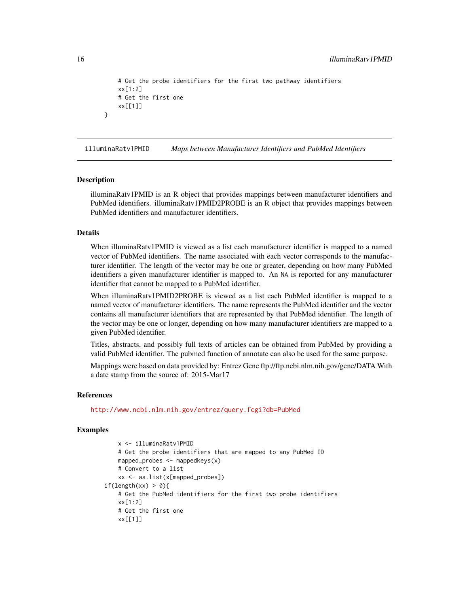```
# Get the probe identifiers for the first two pathway identifiers
xx[1:2]
# Get the first one
xx[[1]]
```
illuminaRatv1PMID *Maps between Manufacturer Identifiers and PubMed Identifiers*

#### Description

}

illuminaRatv1PMID is an R object that provides mappings between manufacturer identifiers and PubMed identifiers. illuminaRatv1PMID2PROBE is an R object that provides mappings between PubMed identifiers and manufacturer identifiers.

## Details

When illuminaRatv1PMID is viewed as a list each manufacturer identifier is mapped to a named vector of PubMed identifiers. The name associated with each vector corresponds to the manufacturer identifier. The length of the vector may be one or greater, depending on how many PubMed identifiers a given manufacturer identifier is mapped to. An NA is reported for any manufacturer identifier that cannot be mapped to a PubMed identifier.

When illuminaRatv1PMID2PROBE is viewed as a list each PubMed identifier is mapped to a named vector of manufacturer identifiers. The name represents the PubMed identifier and the vector contains all manufacturer identifiers that are represented by that PubMed identifier. The length of the vector may be one or longer, depending on how many manufacturer identifiers are mapped to a given PubMed identifier.

Titles, abstracts, and possibly full texts of articles can be obtained from PubMed by providing a valid PubMed identifier. The pubmed function of annotate can also be used for the same purpose.

Mappings were based on data provided by: Entrez Gene ftp://ftp.ncbi.nlm.nih.gov/gene/DATA With a date stamp from the source of: 2015-Mar17

#### References

<http://www.ncbi.nlm.nih.gov/entrez/query.fcgi?db=PubMed>

```
x <- illuminaRatv1PMID
   # Get the probe identifiers that are mapped to any PubMed ID
   mapped_probes \leq mappedkeys(x)
   # Convert to a list
    xx <- as.list(x[mapped_probes])
if(length(xx) > 0){
   # Get the PubMed identifiers for the first two probe identifiers
   xx[1:2]
   # Get the first one
   xx[[1]]
```
<span id="page-15-0"></span>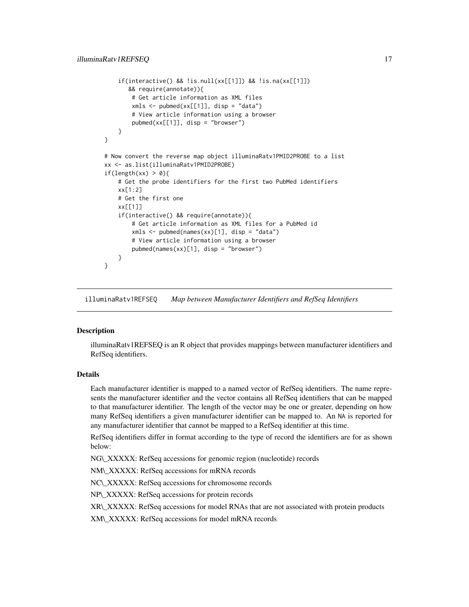```
if(interactive() && !is.null(xx[[1]]) && !is.na(xx[[1]])
      && require(annotate)){
       # Get article information as XML files
       xmls < - pubmed(xx[[1]], disp = "data")
       # View article information using a browser
       pubmed(xx[[1]], disp = "browser")
   }
}
# Now convert the reverse map object illuminaRatv1PMID2PROBE to a list
xx <- as.list(illuminaRatv1PMID2PROBE)
if(length(xx) > 0){
   # Get the probe identifiers for the first two PubMed identifiers
   xx[1:2]
   # Get the first one
   xx[[1]]
   if(interactive() && require(annotate)){
       # Get article information as XML files for a PubMed id
       xmls < - pubmed(names(xx)[1], disp = "data")
       # View article information using a browser
       pubmed(names(xx)[1], disp = "browser")
   }
}
```
illuminaRatv1REFSEQ *Map between Manufacturer Identifiers and RefSeq Identifiers*

#### Description

illuminaRatv1REFSEQ is an R object that provides mappings between manufacturer identifiers and RefSeq identifiers.

## Details

Each manufacturer identifier is mapped to a named vector of RefSeq identifiers. The name represents the manufacturer identifier and the vector contains all RefSeq identifiers that can be mapped to that manufacturer identifier. The length of the vector may be one or greater, depending on how many RefSeq identifiers a given manufacturer identifier can be mapped to. An NA is reported for any manufacturer identifier that cannot be mapped to a RefSeq identifier at this time.

RefSeq identifiers differ in format according to the type of record the identifiers are for as shown below:

NG\\_XXXXX: RefSeq accessions for genomic region (nucleotide) records

NM\\_XXXXX: RefSeq accessions for mRNA records

NC\\_XXXXX: RefSeq accessions for chromosome records

NP\\_XXXXX: RefSeq accessions for protein records

XR\\_XXXXX: RefSeq accessions for model RNAs that are not associated with protein products

XM\\_XXXXX: RefSeq accessions for model mRNA records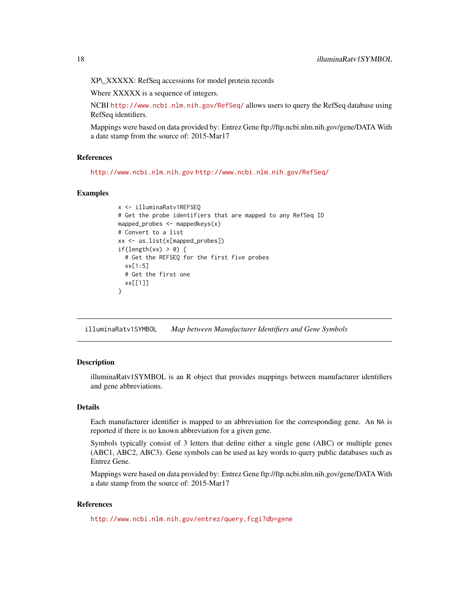<span id="page-17-0"></span>XP\\_XXXXX: RefSeq accessions for model protein records

Where XXXXX is a sequence of integers.

NCBI <http://www.ncbi.nlm.nih.gov/RefSeq/> allows users to query the RefSeq database using RefSeq identifiers.

Mappings were based on data provided by: Entrez Gene ftp://ftp.ncbi.nlm.nih.gov/gene/DATA With a date stamp from the source of: 2015-Mar17

#### References

<http://www.ncbi.nlm.nih.gov> <http://www.ncbi.nlm.nih.gov/RefSeq/>

#### Examples

```
x <- illuminaRatv1REFSEQ
# Get the probe identifiers that are mapped to any RefSeq ID
mapped_probes <- mappedkeys(x)
# Convert to a list
xx <- as.list(x[mapped_probes])
if(length(xx) > 0) {
 # Get the REFSEQ for the first five probes
 xx[1:5]
 # Get the first one
 xx[[1]]
}
```
illuminaRatv1SYMBOL *Map between Manufacturer Identifiers and Gene Symbols*

## Description

illuminaRatv1SYMBOL is an R object that provides mappings between manufacturer identifiers and gene abbreviations.

#### Details

Each manufacturer identifier is mapped to an abbreviation for the corresponding gene. An NA is reported if there is no known abbreviation for a given gene.

Symbols typically consist of 3 letters that define either a single gene (ABC) or multiple genes (ABC1, ABC2, ABC3). Gene symbols can be used as key words to query public databases such as Entrez Gene.

Mappings were based on data provided by: Entrez Gene ftp://ftp.ncbi.nlm.nih.gov/gene/DATA With a date stamp from the source of: 2015-Mar17

## References

<http://www.ncbi.nlm.nih.gov/entrez/query.fcgi?db=gene>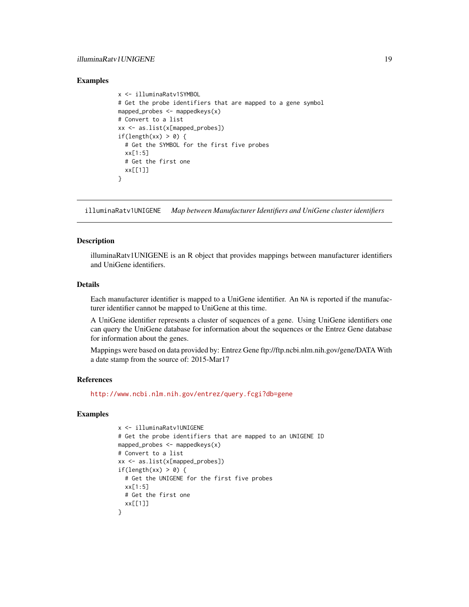## <span id="page-18-0"></span>illuminaRatv1UNIGENE 19

#### Examples

```
x <- illuminaRatv1SYMBOL
# Get the probe identifiers that are mapped to a gene symbol
mapped_probes \leq mappedkeys(x)
# Convert to a list
xx <- as.list(x[mapped_probes])
if(length(xx) > 0) {
 # Get the SYMBOL for the first five probes
 xx[1:5]
 # Get the first one
 xx[[1]]
}
```
illuminaRatv1UNIGENE *Map between Manufacturer Identifiers and UniGene cluster identifiers*

### **Description**

illuminaRatv1UNIGENE is an R object that provides mappings between manufacturer identifiers and UniGene identifiers.

#### Details

Each manufacturer identifier is mapped to a UniGene identifier. An NA is reported if the manufacturer identifier cannot be mapped to UniGene at this time.

A UniGene identifier represents a cluster of sequences of a gene. Using UniGene identifiers one can query the UniGene database for information about the sequences or the Entrez Gene database for information about the genes.

Mappings were based on data provided by: Entrez Gene ftp://ftp.ncbi.nlm.nih.gov/gene/DATA With a date stamp from the source of: 2015-Mar17

#### References

<http://www.ncbi.nlm.nih.gov/entrez/query.fcgi?db=gene>

```
x <- illuminaRatv1UNIGENE
# Get the probe identifiers that are mapped to an UNIGENE ID
mapped_probes <- mappedkeys(x)
# Convert to a list
xx <- as.list(x[mapped_probes])
if(length(xx) > 0) {
 # Get the UNIGENE for the first five probes
 xx[1:5]
 # Get the first one
  xx[[1]]
}
```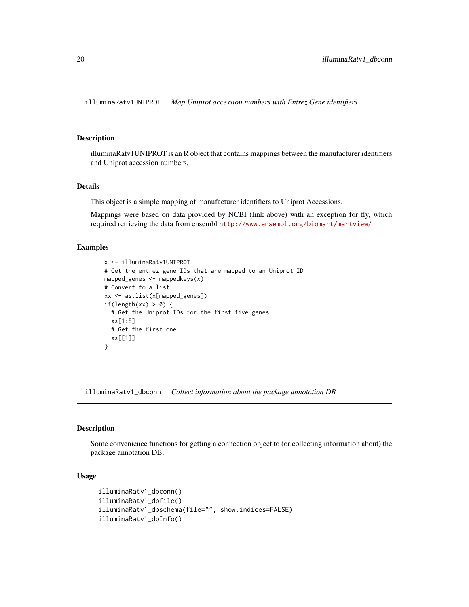<span id="page-19-0"></span>illuminaRatv1UNIPROT *Map Uniprot accession numbers with Entrez Gene identifiers*

## Description

illuminaRatv1UNIPROT is an R object that contains mappings between the manufacturer identifiers and Uniprot accession numbers.

## Details

This object is a simple mapping of manufacturer identifiers to Uniprot Accessions.

Mappings were based on data provided by NCBI (link above) with an exception for fly, which required retrieving the data from ensembl <http://www.ensembl.org/biomart/martview/>

#### Examples

```
x <- illuminaRatv1UNIPROT
# Get the entrez gene IDs that are mapped to an Uniprot ID
mapped_genes \leq mappedkeys(x)
# Convert to a list
xx <- as.list(x[mapped_genes])
if(length(xx) > 0) {
  # Get the Uniprot IDs for the first five genes
  xx[1:5]
  # Get the first one
  xx[[1]]
}
```
illuminaRatv1\_dbconn *Collect information about the package annotation DB*

#### Description

Some convenience functions for getting a connection object to (or collecting information about) the package annotation DB.

## Usage

```
illuminaRatv1_dbconn()
illuminaRatv1_dbfile()
illuminaRatv1_dbschema(file="", show.indices=FALSE)
illuminaRatv1_dbInfo()
```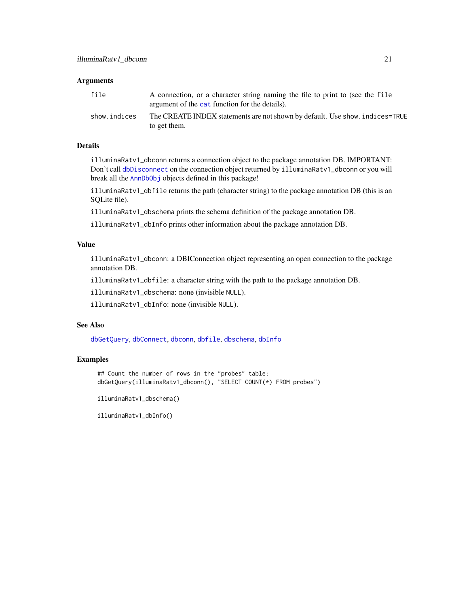#### <span id="page-20-0"></span>**Arguments**

| file         | A connection, or a character string naming the file to print to (see the file<br>argument of the cat function for the details). |
|--------------|---------------------------------------------------------------------------------------------------------------------------------|
| show.indices | The CREATE INDEX statements are not shown by default. Use show, indices=TRUE<br>to get them.                                    |

#### Details

illuminaRatv1\_dbconn returns a connection object to the package annotation DB. IMPORTANT: Don't call [dbDisconnect](#page-0-0) on the connection object returned by illuminaRatv1\_dbconn or you will break all the [AnnDbObj](#page-0-0) objects defined in this package!

illuminaRatv1\_dbfile returns the path (character string) to the package annotation DB (this is an SQLite file).

illuminaRatv1\_dbschema prints the schema definition of the package annotation DB.

illuminaRatv1\_dbInfo prints other information about the package annotation DB.

#### Value

illuminaRatv1\_dbconn: a DBIConnection object representing an open connection to the package annotation DB.

illuminaRatv1\_dbfile: a character string with the path to the package annotation DB.

illuminaRatv1\_dbschema: none (invisible NULL).

illuminaRatv1\_dbInfo: none (invisible NULL).

## See Also

[dbGetQuery](#page-0-0), [dbConnect](#page-0-0), [dbconn](#page-0-0), [dbfile](#page-0-0), [dbschema](#page-0-0), [dbInfo](#page-0-0)

#### Examples

## Count the number of rows in the "probes" table: dbGetQuery(illuminaRatv1\_dbconn(), "SELECT COUNT(\*) FROM probes")

illuminaRatv1\_dbschema()

illuminaRatv1\_dbInfo()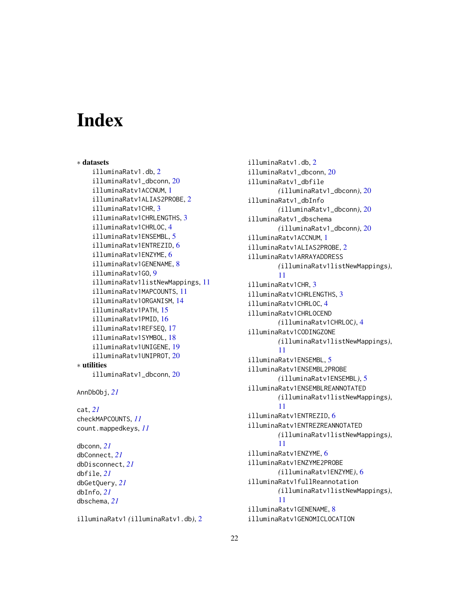# Index

∗ datasets illuminaRatv1.db, [2](#page-1-0) illuminaRatv1\_dbconn, [20](#page-19-0) illuminaRatv1ACCNUM, [1](#page-0-1) illuminaRatv1ALIAS2PROBE, [2](#page-1-0) illuminaRatv1CHR, [3](#page-2-0) illuminaRatv1CHRLENGTHS, [3](#page-2-0) illuminaRatv1CHRLOC, [4](#page-3-0) illuminaRatv1ENSEMBL, [5](#page-4-0) illuminaRatv1ENTREZID, [6](#page-5-0) illuminaRatv1ENZYME, [6](#page-5-0) illuminaRatv1GENENAME, [8](#page-7-0) illuminaRatv1GO, [9](#page-8-1) illuminaRatv1listNewMappings, [11](#page-10-0) illuminaRatv1MAPCOUNTS, [11](#page-10-0) illuminaRatv1ORGANISM, [14](#page-13-0) illuminaRatv1PATH, [15](#page-14-0) illuminaRatv1PMID, [16](#page-15-0) illuminaRatv1REFSEQ, [17](#page-16-0) illuminaRatv1SYMBOL, [18](#page-17-0) illuminaRatv1UNIGENE, [19](#page-18-0) illuminaRatv1UNIPROT, [20](#page-19-0) ∗ utilities illuminaRatv1\_dbconn, [20](#page-19-0)

```
AnnDbObj, 21
```

```
cat, 21
checkMAPCOUNTS, 11
count.mappedkeys, 11
```
dbconn, *[21](#page-20-0)* dbConnect, *[21](#page-20-0)* dbDisconnect, *[21](#page-20-0)* dbfile, *[21](#page-20-0)* dbGetQuery, *[21](#page-20-0)* dbInfo, *[21](#page-20-0)* dbschema, *[21](#page-20-0)*

illuminaRatv1 *(*illuminaRatv1.db*)*, [2](#page-1-0)

illuminaRatv1.db, [2](#page-1-0) illuminaRatv1\_dbconn, [20](#page-19-0) illuminaRatv1\_dbfile *(*illuminaRatv1\_dbconn*)*, [20](#page-19-0) illuminaRatv1\_dbInfo *(*illuminaRatv1\_dbconn*)*, [20](#page-19-0) illuminaRatv1\_dbschema *(*illuminaRatv1\_dbconn*)*, [20](#page-19-0) illuminaRatv1ACCNUM, [1](#page-0-1) illuminaRatv1ALIAS2PROBE, [2](#page-1-0) illuminaRatv1ARRAYADDRESS *(*illuminaRatv1listNewMappings*)*, [11](#page-10-0) illuminaRatv1CHR, [3](#page-2-0) illuminaRatv1CHRLENGTHS, [3](#page-2-0) illuminaRatv1CHRLOC, [4](#page-3-0) illuminaRatv1CHRLOCEND *(*illuminaRatv1CHRLOC*)*, [4](#page-3-0) illuminaRatv1CODINGZONE *(*illuminaRatv1listNewMappings*)*, [11](#page-10-0) illuminaRatv1ENSEMBL, [5](#page-4-0) illuminaRatv1ENSEMBL2PROBE *(*illuminaRatv1ENSEMBL*)*, [5](#page-4-0) illuminaRatv1ENSEMBLREANNOTATED *(*illuminaRatv1listNewMappings*)*, [11](#page-10-0) illuminaRatv1ENTREZID, [6](#page-5-0) illuminaRatv1ENTREZREANNOTATED *(*illuminaRatv1listNewMappings*)*, [11](#page-10-0) illuminaRatv1ENZYME, [6](#page-5-0) illuminaRatv1ENZYME2PROBE *(*illuminaRatv1ENZYME*)*, [6](#page-5-0) illuminaRatv1fullReannotation *(*illuminaRatv1listNewMappings*)*, [11](#page-10-0) illuminaRatv1GENENAME, [8](#page-7-0) illuminaRatv1GENOMICLOCATION